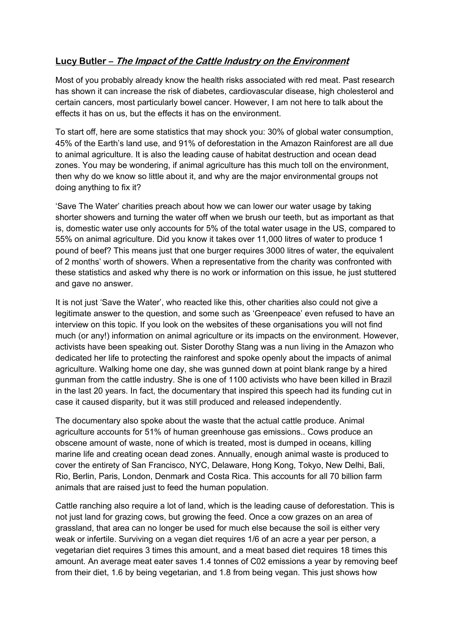## **Lucy Butler – The Impact of the Cattle Industry on the Environment**

Most of you probably already know the health risks associated with red meat. Past research has shown it can increase the risk of diabetes, cardiovascular disease, high cholesterol and certain cancers, most particularly bowel cancer. However, I am not here to talk about the effects it has on us, but the effects it has on the environment.

To start off, here are some statistics that may shock you: 30% of global water consumption, 45% of the Earth's land use, and 91% of deforestation in the Amazon Rainforest are all due to animal agriculture. It is also the leading cause of habitat destruction and ocean dead zones. You may be wondering, if animal agriculture has this much toll on the environment, then why do we know so little about it, and why are the major environmental groups not doing anything to fix it?

'Save The Water' charities preach about how we can lower our water usage by taking shorter showers and turning the water off when we brush our teeth, but as important as that is, domestic water use only accounts for 5% of the total water usage in the US, compared to 55% on animal agriculture. Did you know it takes over 11,000 litres of water to produce 1 pound of beef? This means just that one burger requires 3000 litres of water, the equivalent of 2 months' worth of showers. When a representative from the charity was confronted with these statistics and asked why there is no work or information on this issue, he just stuttered and gave no answer.

It is not just 'Save the Water', who reacted like this, other charities also could not give a legitimate answer to the question, and some such as 'Greenpeace' even refused to have an interview on this topic. If you look on the websites of these organisations you will not find much (or any!) information on animal agriculture or its impacts on the environment. However, activists have been speaking out. Sister Dorothy Stang was a nun living in the Amazon who dedicated her life to protecting the rainforest and spoke openly about the impacts of animal agriculture. Walking home one day, she was gunned down at point blank range by a hired gunman from the cattle industry. She is one of 1100 activists who have been killed in Brazil in the last 20 years. In fact, the documentary that inspired this speech had its funding cut in case it caused disparity, but it was still produced and released independently.

The documentary also spoke about the waste that the actual cattle produce. Animal agriculture accounts for 51% of human greenhouse gas emissions.. Cows produce an obscene amount of waste, none of which is treated, most is dumped in oceans, killing marine life and creating ocean dead zones. Annually, enough animal waste is produced to cover the entirety of San Francisco, NYC, Delaware, Hong Kong, Tokyo, New Delhi, Bali, Rio, Berlin, Paris, London, Denmark and Costa Rica. This accounts for all 70 billion farm animals that are raised just to feed the human population.

Cattle ranching also require a lot of land, which is the leading cause of deforestation. This is not just land for grazing cows, but growing the feed. Once a cow grazes on an area of grassland, that area can no longer be used for much else because the soil is either very weak or infertile. Surviving on a vegan diet requires 1/6 of an acre a year per person, a vegetarian diet requires 3 times this amount, and a meat based diet requires 18 times this amount. An average meat eater saves 1.4 tonnes of C02 emissions a year by removing beef from their diet, 1.6 by being vegetarian, and 1.8 from being vegan. This just shows how